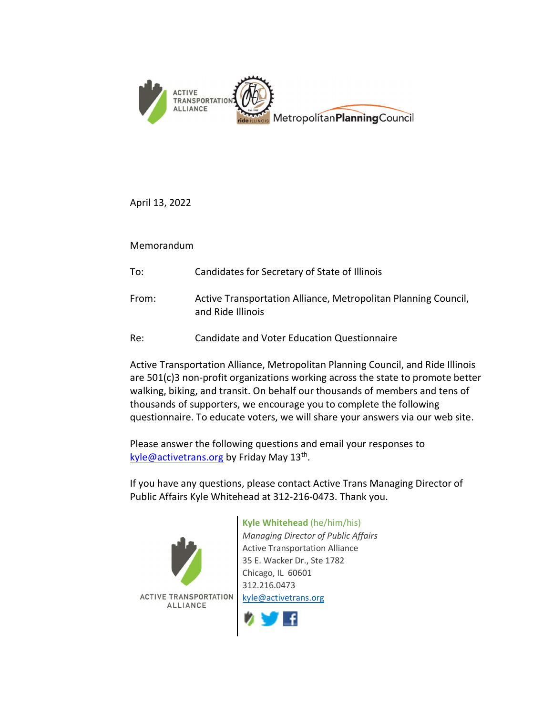

April 13, 2022

Memorandum

- To: Candidates for Secretary of State of Illinois
- From: Active Transportation Alliance, Metropolitan Planning Council, and Ride Illinois
- Re: Candidate and Voter Education Questionnaire

Active Transportation Alliance, Metropolitan Planning Council, and Ride Illinois are 501(c)3 non-profit organizations working across the state to promote better walking, biking, and transit. On behalf our thousands of members and tens of thousands of supporters, we encourage you to complete the following questionnaire. To educate voters, we will share your answers via our web site.

Please answer the following questions and email your responses to kyle@activetrans.org by Friday May 13<sup>th</sup>.

If you have any questions, please contact Active Trans Managing Director of Public Affairs Kyle Whitehead at 312-216-0473. Thank you.



## Kyle Whitehead (he/him/his)

Managing Director of Public Affairs Active Transportation Alliance 35 E. Wacker Dr., Ste 1782 Chicago, IL 60601 312.216.0473 kyle@activetrans.org

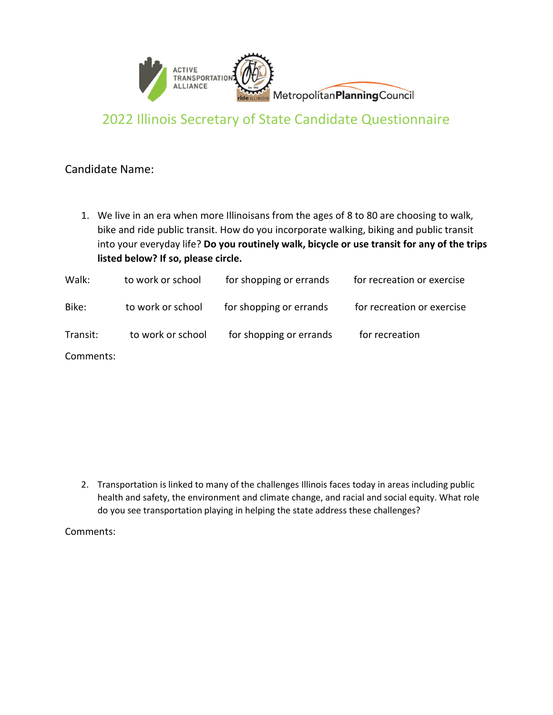

## 2022 Illinois Secretary of State Candidate Questionnaire

## Candidate Name:

1. We live in an era when more Illinoisans from the ages of 8 to 80 are choosing to walk, bike and ride public transit. How do you incorporate walking, biking and public transit into your everyday life? Do you routinely walk, bicycle or use transit for any of the trips listed below? If so, please circle.

| Walk:    | to work or school | for shopping or errands | for recreation or exercise |
|----------|-------------------|-------------------------|----------------------------|
| Bike:    | to work or school | for shopping or errands | for recreation or exercise |
| Transit: | to work or school | for shopping or errands | for recreation             |
| Common   |                   |                         |                            |

Comments:

2. Transportation is linked to many of the challenges Illinois faces today in areas including public health and safety, the environment and climate change, and racial and social equity. What role do you see transportation playing in helping the state address these challenges?

Comments: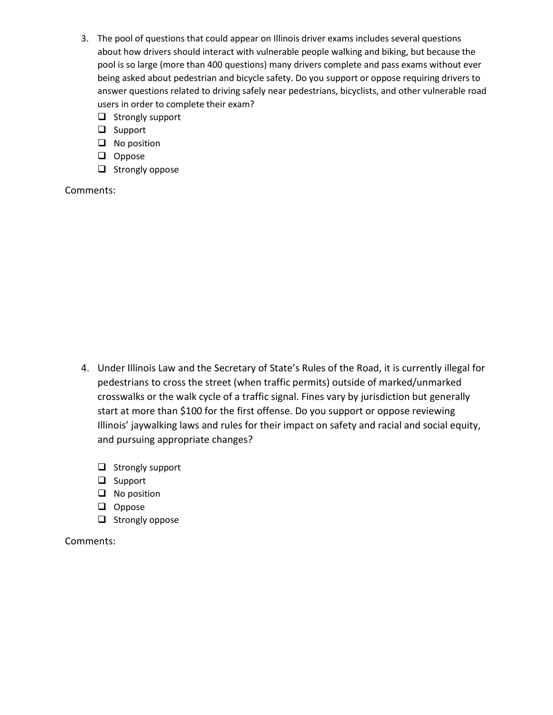- 3. The pool of questions that could appear on Illinois driver exams includes several questions about how drivers should interact with vulnerable people walking and biking, but because the pool is so large (more than 400 questions) many drivers complete and pass exams without ever being asked about pedestrian and bicycle safety. Do you support or oppose requiring drivers to answer questions related to driving safely near pedestrians, bicyclists, and other vulnerable road users in order to complete their exam?
	- $\Box$  Strongly support
	- $\Box$  Support
	- $\Box$  No position
	- **Q** Oppose
	- $\Box$  Strongly oppose

Comments:

- 4. Under Illinois Law and the Secretary of State's Rules of the Road, it is currently illegal for pedestrians to cross the street (when traffic permits) outside of marked/unmarked crosswalks or the walk cycle of a traffic signal. Fines vary by jurisdiction but generally start at more than \$100 for the first offense. Do you support or oppose reviewing Illinois' jaywalking laws and rules for their impact on safety and racial and social equity, and pursuing appropriate changes?
	- $\Box$  Strongly support
	- □ Support
	- $\Box$  No position
	- $\Box$  Oppose
	- $\Box$  Strongly oppose

Comments: